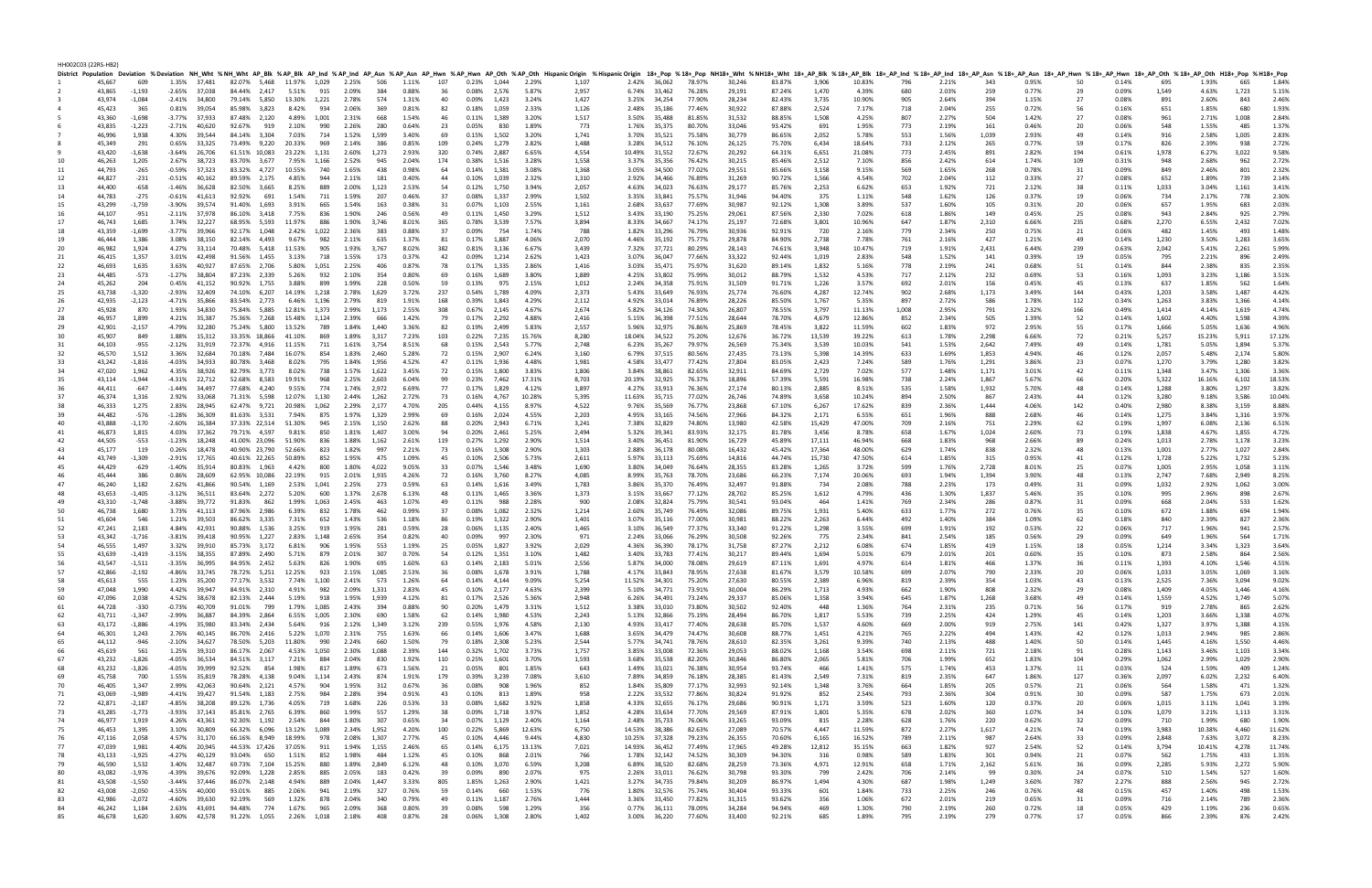HH002C03 (22RS-HB2)

|          |                  |                  |                                   |        |              |              |                                                                          |       |                |       |                                                                        |            |                      |       |                | District Population Deviation %Deviation NH_Wht %NH_Wht AP_Blk %AP_Blk AP_Blk AP_Ind %AP_Ind AP_Asn %AP_Asn AP_Hwn %AP_Hwn AP_Oth HispanicOrigin %HispanicOrigin %HispanicOrigin 18+_PDp %18+_PDp NH18+_Wht %NH18+_Wht 28+_AP_ |               |                              |                  |                  |                  |                |                  |            |                |            |                |           |                |                |                |                |                |
|----------|------------------|------------------|-----------------------------------|--------|--------------|--------------|--------------------------------------------------------------------------|-------|----------------|-------|------------------------------------------------------------------------|------------|----------------------|-------|----------------|--------------------------------------------------------------------------------------------------------------------------------------------------------------------------------------------------------------------------------|---------------|------------------------------|------------------|------------------|------------------|----------------|------------------|------------|----------------|------------|----------------|-----------|----------------|----------------|----------------|----------------|----------------|
|          | 45,667           | 609              | 1.35% 37,481                      |        |              |              | 82.07% 5,468 11.97% 1,029 2.25% 506                                      |       |                |       | 1.11%                                                                  | 107        | 0.23% 1,044 2.29%    |       |                | 1,107                                                                                                                                                                                                                          |               | 2.42% 36,062                 | 78.97%           | 30,246           | 83.87%           | 3,906          | 10.83%           | 796        | 2.21%          | 343        | 0.95%          | 50        | 0.14%          | 695            | 1.93%          | 665            | 1.84%          |
|          | 43,865           | $-1,193$         | $-2.65\%$ 37.038                  |        |              |              | 84.44% 2.417 5.51% 915 2.09%                                             |       |                | 384   | 0.88%                                                                  | 36         | 0.08% 2,576          |       | 5.87%          | 2,957                                                                                                                                                                                                                          |               | 6.74% 33.462                 | 76.28%           | 29,191           | 87.24%           | 1,470          | 4.39%            | 680        | 2.03%          | 259        | 0.77%          | 29        | 0.09%          | 1,549          | 4.63%          | 1,723          | 5.15%          |
|          | 43,974<br>45,423 | $-1,084$<br>365  | $-2.41\%$ 34,800<br>0.81%         | 39,054 |              |              | 79.14% 5,850 13.30% 1,221 2.78% 574                                      |       | 2.06%          |       | 1.31%<br>0.81%                                                         | 40         | 0.09%                | 1,423 | 3.24%<br>2.33% | 1,427                                                                                                                                                                                                                          |               | 3.25% 34,254                 | 77.90%<br>77.46% | 28,234           | 82.43%           | 3,735          | 10.90%<br>7.17%  | 905        | 2.64%<br>2.04% | 394        | 1.15%<br>0.72% | 27<br>56  | 0.08%          | 891<br>651     | 2.60%          | 843<br>680     | 2.46%<br>1.93% |
|          |                  |                  |                                   |        |              |              | 85.98% 3,823 8.42% 934                                                   |       |                | 369   |                                                                        | 82         | 0.18%                | 1,059 |                | 1,126                                                                                                                                                                                                                          |               | 2.48% 35,186                 |                  | 30,922           | 87.88%           | 2,524          |                  | 718        |                | 255        |                |           | 0.16%          |                | 1.85%          |                |                |
|          | 43,360<br>43,835 | -1,698<br>-1,223 | -3.77% 37,933<br>$-2.71\%$ 40.620 |        |              |              | 87.48% 2,120 4.89% 1,001<br>92.67% 919 2.10% 990                         |       | 2.31%<br>2.26% | 668   | 1.54%<br>0.64%                                                         | 46         | 0.11%                | 1,389 | 3.20%<br>1.89% | 1,517<br>773                                                                                                                                                                                                                   |               | 3.50% 35,488                 | 81.85%           | 31,532<br>33,046 | 88.85%           | 1,508<br>691   | 4.25%            | 807<br>773 | 2.27%          | 504        | 1.42%<br>0.46% | 27<br>20  | 0.08%<br>0.06% | 961<br>548     | 2.71%<br>1.55% | 1,008<br>485   | 2.84%<br>1.37% |
|          | 46,996           |                  | 4.30%                             |        |              |              | 84.14% 3,304 7.03% 714                                                   |       | 1.52% 1,599    | 280   | 3.40%                                                                  | 23         | 0.05%                | 830   | 3.20%          |                                                                                                                                                                                                                                |               | 1.76% 35,375                 | 80.70%           | 30,779           | 93.42%           |                | 1.95%            |            | 2.19%          | 161        | 2.93%          | 49        |                |                |                | 1,005          | 2.83%          |
|          |                  | 1,938            |                                   | 39,544 |              |              |                                                                          |       |                |       |                                                                        | 69         | 0.15%                | 1,502 |                | 1,741                                                                                                                                                                                                                          |               | 3.70% 35,521                 | 75.58%           |                  | 86.65%           | 2,052          | 5.78%            | 553        | 1.56%          | 1,039      |                |           | 0.14%          | 916            | 2.58%          |                | 2.72%          |
|          | 45,349<br>43,420 | 291<br>-1,638    | 0.65%<br>$-3.64\%$ 26.706         | 33,325 |              |              | 73.49% 9,220 20.33% 969                                                  |       | 2.14%          | 386   | 0.85%<br>2.93%                                                         | 109        | 0.24%<br>0.74% 2,887 | 1,279 | 2.82%<br>6.65% | 1,488                                                                                                                                                                                                                          | 10.49% 31,552 | 3.28% 34,512                 | 76.10%<br>72.67% | 26,125<br>20,292 | 75.70%           | 6,434          | 18.64%<br>21.08% | 733<br>773 | 2.12%<br>2.45% | 265        | 0.77%<br>2.82% | 59<br>194 | 0.17%          | 826<br>1,978   | 2.39%          | 938<br>3,022   | 9.58%          |
|          |                  |                  |                                   |        |              |              | 61.51% 10,083 23.22% 1,131 2.60% 1,273<br>83.70% 3,677 7.95% 1,166 2.52% |       |                | 945   | 2.04%                                                                  | 320<br>174 |                      |       | 3.28%          | 4,554<br>1,558                                                                                                                                                                                                                 |               |                              |                  | 30,215           | 64.31%           | 6,651          | 7.10%            |            | 2.42%          | 891        | 1.74%          |           | 0.61%          |                | 6.27%          | 962            | 2.72%          |
|          | 46,263<br>44,793 | 1,205<br>-265    | 2.67% 38,723<br>-0.59%            | 37,323 |              |              | 83.32% 4,727 10.55%                                                      | 740   | 1.65%          | 438   | 0.98%                                                                  | 64         | 0.38% 1,516          | 1,381 | 3.08%          | 1,368                                                                                                                                                                                                                          |               | 3.37% 35,356<br>3.05% 34,500 | 76.42%           | 29,551           | 85.46%           | 2,512          | 9.15%            | 856<br>569 |                | 614<br>268 | 0.78%          | 109<br>31 | 0.31%<br>0.09% | 849            | 2.68%<br>2.46% | 801            | 2.32%          |
| 11       | 44,827           | -231             | -0.51%                            | 40,162 |              |              | 89.59% 2,175 4.85%                                                       | 944   | 2.11%          | 181   | 0.40%                                                                  | 44         | 0.14%<br>0.10%       |       | 2.32%          | 1,310                                                                                                                                                                                                                          |               |                              | 77.02%           | 31,269           | 85.66%           | 3,158          | 4.54%            | 702        | 1.65%<br>2.04% |            | 0.33%          | 27        |                | 652            |                | 739            | 2.14%          |
| 12<br>13 | 44,400           | $-658$           | $-1.46\%$ 36,628                  |        |              |              | 82.50% 3,665 8.25%                                                       | 889   | 2.00% 1,123    |       | 2.53%                                                                  | 54         | 0.12% 1,750          | 1,039 | 3.94%          | 2,057                                                                                                                                                                                                                          |               | 2.92% 34,466<br>4.63% 34,023 | 76.89%<br>76.63% | 29,177           | 90.72%<br>85.76% | 1,566<br>2,253 | 6.62%            | 653        | 1.92%          | 112<br>721 | 2.12%          | 38        | 0.08%          | 1,033          | 1.89%<br>3.04% | 1.161          | 3.41%          |
| 14       | 44,783           | $-275$           | $-0.61\%$ 41,613                  |        |              |              | 92.92% 691 1.54%                                                         | 711   | 1.59%          | 207   | 0.46%                                                                  | 37         | 0.08% 1,337          |       | 2.99%          | 1,502                                                                                                                                                                                                                          |               | 3.35% 33,841                 | 75.57%           | 31,946           | 94.40%           | 375            | 1.11%            | 548        | 1.62%          | 126        | 0.37%          | 19        | 0.11%<br>0.06% | 734            | 2.17%          | 778            | 2.30%          |
| 15       | 43,299           | $-1,759$         | -3.90% 39,574                     |        |              |              | 91.40% 1,693 3.91%                                                       | 665   | 1.54%          | 163   | 0.38%                                                                  | 31         | 0.07% 1,103          |       | 2.55%          | 1,161                                                                                                                                                                                                                          |               | 2.68% 33,637                 | 77.69%           | 30,987           | 92.12%           | 1,308          | 3.89%            | 537        | 1.60%          | 105        | 0.31%          | 20        | 0.06%          | 657            | 1.95%          | 683            | 2.03%          |
| 16       | 44,107           |                  |                                   |        |              |              | 86.10% 3,418 7.75%                                                       | 836   | 1.90%          | 246   | 0.56%                                                                  | 49         | 0.11% 1,450          |       | 3.29%          |                                                                                                                                                                                                                                |               | 3.43% 33,190                 |                  | 29,061           |                  |                | 7.02%            | 618        |                | 149        | 0.45%          | 25        | 0.08%          | 943            | 2.84%          | 925            | 2.79%          |
| 17       |                  | -951<br>1,685    | $-2.11\%$ 37,978<br>3.74% 32,227  |        |              |              | 68.95% 5,593 11.97% 886                                                  |       | 1.90% 3,746    |       |                                                                        | 365        |                      |       | 7.57%          | 1,512<br>3,894                                                                                                                                                                                                                 |               |                              | 75.25%           | 25,197           | 87.56%           | 2,330<br>3,801 | 10.96%           | 647        | 1.86%          | 2,310      | 6.66%          |           |                | 2,270          |                | 2,432          | 7.02%          |
|          | 46,743           |                  |                                   |        |              |              |                                                                          |       |                |       | 8.01%                                                                  |            | 0.78%                | 3,539 |                |                                                                                                                                                                                                                                |               | 8.33% 34,667                 | 74.17%           |                  | 72.68%           |                |                  |            | 1.87%          |            |                | 235       | 0.68%          |                | 6.55%          |                |                |
| 18       | 43,359<br>46,444 | -1,699           | $-3.77\%$ 39,966<br>3.08%         |        |              |              | 92.17% 1,048 2.42% 1,022 2.36%                                           |       |                | 383   | 0.88%<br>1.37%                                                         | 37         | 0.09%                | 754   | 1.74%<br>4.06% | 788<br>2,070                                                                                                                                                                                                                   |               | 1.82% 33,296                 | 76.79%           | 30,936           | 92.91%           | 720            | 2.16%<br>7.78%   | 779        | 2.34%          | 250<br>427 | 0.75%          | 21        | 0.06%          | 482            | 1.45%          | 493<br>1,283   | 1.48%<br>3.65% |
| 19<br>20 |                  | 1,386            | 4.27% 33,114                      | 38,150 |              |              | 82.14% 4,493 9.67% 982<br>70.48% 5,418 11.53% 905                        |       | 2.11% 635      |       | 8.02%                                                                  | 81<br>382  | 0.17% 1,887<br>0.81% | 3,136 | 6.67%          | 3,439                                                                                                                                                                                                                          |               | 4.46% 35,192                 | 75.77%           | 29,878<br>28,143 | 84.90%           | 2,738<br>3,948 | 10.47%           | 761<br>719 | 2.16%          |            | 1.21%<br>6.44% | 49<br>239 | 0.14%          | 1,230<br>2,042 | 3.50%          | 2,261          | 5.99%          |
|          | 46,982           | 1,924            |                                   |        |              |              |                                                                          |       | 1.93% 3,767    |       |                                                                        |            |                      |       |                |                                                                                                                                                                                                                                |               | 7.32% 37,721                 | 80.29%           |                  | 74.61%           |                |                  |            | 1.91%          | 2,431      |                |           | 0.63%          |                | 5.41%          |                |                |
| 21       | 46,415           | 1,357            | 3.01%                             | 42,498 |              |              | 91.56% 1,455 3.13%                                                       | 718   | 1.55%          | 173   | 0.37%                                                                  | 42         | 0.09%                | 1,214 | 2.62%          | 1,423                                                                                                                                                                                                                          |               | 3.07% 36,047                 | 77.66%           | 33,322           | 92.44%           | 1,019          | 2.83%            | 548        | 1.52%          | 141        | 0.39%          | 19        | 0.05%          | 795            | 2.21%          | 896            | 2.49%          |
| 22       | 46,693           | 1,635            | 3.63%                             | 40,927 |              |              | 87.65% 2,706 5.80% 1,051                                                 |       | 2.25%          | 406   | 0.87%                                                                  | 78         | 0.17% 1,335          |       | 2.86%          | 1,416                                                                                                                                                                                                                          |               | 3.03% 35,471                 | 75.97%           | 31,620           | 89.14%           | 1,832          | 5.16%            | 778        | 2.19%          | 241        | 0.68%          | 51        | 0.14%          | 844            | 2.38%          | 835            | 2.35%          |
| 23       | 44,485           | -573             | $-1.27\%$ 38,804                  |        |              |              | 87.23% 2,339 5.26% 932 2.10%                                             |       |                | 354   | 0.80%                                                                  | 69         | 0.16%                | 1,689 | 3.80%          | 1.889                                                                                                                                                                                                                          |               | 4.25% 33,802                 | 75.99%           | 30,012           | 88.79%           | 1,532          | 4.53%            | 717        | 2.12%          | 232        | 0.69%          | 53        | 0.16%          | 1,093          | 3.23%          | 1.186          | 3.51%          |
| 24       | 45,262           | 204              | 0.45%                             | 41,152 |              |              | 90.92% 1,755 3.88% 899                                                   |       | 1.99%          | 228   | 0.50%                                                                  | 59         | 0.13%                | 975   | 2.15%          | 1,012                                                                                                                                                                                                                          |               | 2.24% 34,358                 | 75.91%           | 31,509           | 91.71%           | 1,226          | 3.57%            | 692        | 2.01%          | 156        | 0.45%          | 45        | 0.13%          | 637            | 1.85%          | 562            | 1.64%          |
| 25       | 43,738           | $-1,320$         | -2.93%                            | 32,409 |              |              | 74.10% 6,207 14.19% 1,218 2.78% 1,629                                    |       |                |       | 3.72%                                                                  | 237        | 0.54% 1.789          |       | 4.09%          | 2,373                                                                                                                                                                                                                          |               | 5.43% 33,649                 | 76.93%           | 25,774           | 76.60%           | 4,287          | 12.74%           | 902        | 2.68%          | 1,173      | 3.49%          | 144       | 0.43%          | 1,203          | 3.58%          | 1,487          | 4.42%          |
| 26       | 42,935           | $-2,123$         | -4.71% 35,866                     |        |              |              | 83.54% 2,773 6.46% 1,196                                                 |       | 2.79%          | 819   | 1.91%                                                                  | 168        | 0.39% 1,843          |       | 4.29%          | 2,112                                                                                                                                                                                                                          |               | 4.92% 33,014                 | 76.89%           | 28,226           | 85.50%           | 1,767          | 5.35%            | 897        | 2.72%          | 586        | 1.78%          | 112       | 0.34%          | 1,263          | 3.83%          | 1,366          | 4.14%          |
| 27       | 45,928           | 870              | 1.93%                             | 34,830 |              |              | 75.84% 5,885 12.81% 1,373 2.99% 1,173                                    |       |                |       | 2.55%                                                                  | 308        | 0.67% 2.145          |       | 4.67%          | 2,674                                                                                                                                                                                                                          |               | 5.82% 34,126                 | 74.30%           | 26,807           | 78.55%           | 3,797          | 11.13%           | 1,008      | 2.95%          | 791        | 2.32%          | 166       | 0.49%          | 1,414          | 4.14%          | 1,619          | 4.74%          |
| 28       | 46,957           | 1,899            | 4.21% 35,387                      |        |              |              | 75.36% 7,268 15.48% 1,124 2.39%                                          |       |                | 666   | 1.42%                                                                  | 79         | 0.17%                | 2,292 | 4.88%          | 2,416                                                                                                                                                                                                                          |               | 5.15% 36,398                 | 77.51%           | 28,644           | 78.70%           | 4,679          | 12.86%           | 852        | 2.34%          | 505        | 1.39%          | 52        | 0.14%          | 1,602          | 4.40%          | 1.598          | 4.39%          |
| 29       | 42,901           | $-2,157$         | -4.79% 32,280                     |        |              |              | 75.24% 5,800 13.52% 789                                                  |       | 1.84% 1,440    |       | 3.36%                                                                  | 82         | 0.19% 2,499          |       | 5.83%          | 2,557                                                                                                                                                                                                                          |               | 5.96% 32,975                 | 76.86%           | 25,869           | 78.45%           | 3,822          | 11.59%           | 602        | 1.83%          | 972        | 2.95%          | 55        | 0.17%          | 1,666          | 5.05%          | 1,636          | 4.96%          |
|          | 45,907           | 849              | 1.88%                             | 15,312 |              |              | 33.35% 18,866 41.10% 869 1.89% 3,317                                     |       |                |       | 7.23%                                                                  | 103        | 0.22% 7,235          |       | 15.76%         | 8,280                                                                                                                                                                                                                          |               | 18.04% 34,522                | 75.20%           | 12,676           | 36.72%           | 13,539         | 39.22%           | 613        | 1.78%          | 2,298      | 6.66%          | 72        | 0.21%          | 5,257          | 15.23%         | 5,911          | 17.12%         |
| 31       | 44,103           | -955             | $-2.12\%$ 31,919                  |        |              |              | 72.37% 4,916 11.15% 711                                                  |       | 1.61% 3,754    |       | 8.51%                                                                  | 68         | 0.15%                | 2,543 | 5.77%          | 2,748                                                                                                                                                                                                                          |               | 6.23% 35,267                 | 79.97%           | 26,569           | 75.34%           | 3,539          | 10.03%           | 541        | 1.53%          | 2,642      | 7.49%          | 49        | 0.14%          | 1,781          | 5.05%          | 1,894          | 5.37%          |
| 32       | 46,570           | 1,512            | 3.36%                             | 32,684 |              |              | 70.18% 7,484 16.07% 854                                                  |       | 1.83% 2,460    |       | 5.28%                                                                  | 72         | 0.15% 2,907          |       | 6.24%          | 3,160                                                                                                                                                                                                                          |               | 6.79% 37,515                 | 80.56%           | 27,435           | 73.13%           | 5,398          | 14.39%           | 633        | 1.69%          | 1,853      | 4.94%          | 46        | 0.12%          | 2,057          | 5.48%          | 2,174          | 5.80%          |
| 33       | 43,242           | $-1,816$         | $-4.03\%$ 34.933                  |        |              |              | 80.78% 3,468 8.02% 795 1.84% 1,956                                       |       |                |       | 4.52%                                                                  | 47         | 0.11% 1,936          |       | 4.48%          | 1,981                                                                                                                                                                                                                          |               | 4.58% 33,477                 | 77.42%           | 27,804           | 83.05%           | 2,423          | 7.24%            | 589        | 1.76%          | 1,291      | 3.86%          | 23        | 0.07%          | 1,270          | 3.79%          | 1,280          | 3.82%          |
| 34       | 47,020           | 1,962            | 4.35% 38,926                      |        |              |              | 82.79% 3,773 8.02% 738                                                   |       | 1.57% 1,622    |       | 3.45%                                                                  | 72         | 0.15% 1,800          |       | 3.83%          | 1,806                                                                                                                                                                                                                          |               | 3.84% 38,861                 | 82.65%           | 32,911           | 84.69%           | 2,729          | 7.02%            | 577        | 1.48%          | 1,171      | 3.01%          | 42        | 0.11%          | 1,348          | 3.47%          | 1,306          | 3.36%          |
| 35       | 43,114           | $-1,944$         | $-4.31\%$ 22,712                  |        |              |              | 52.68% 8,583 19.91% 968                                                  |       | 2.25% 2,603    |       | 6.04%                                                                  | 99         | 0.23% 7,462          |       | 17.31%         | 8,703                                                                                                                                                                                                                          | 20.19% 32,925 |                              | 76.37%           | 18,896           | 57.39%           | 5,591          | 16.98%           | 738        | 2.24%          | 1,867      | 5.67%          | 66        | 0.20%          | 5,322          | 16.16%         | 6,102          | 18.53%         |
|          | 44,411           | -647             | $-1.44\%$ 34,497                  |        |              |              | 77.68% 4,240 9.55% 774 1.74% 2,972                                       |       |                |       | 6.69%                                                                  | 77         | 0.17% 1,829          |       | 4.12%          | 1,897                                                                                                                                                                                                                          |               | 4.27% 33,913                 | 76.36%           | 27,174           | 80.13%           | 2,885          | 8.51%            | 535        | 1.58%          | 1,932      | 5.70%          | 48        | 0.14%          | 1,288          | 3.80%          | 1,297          | 3.82%          |
| 37       | 46,374           | 1,316            | 2.92%                             | 33,068 |              |              | 71.31% 5,598 12.07% 1,130 2.44% 1,262                                    |       |                |       | 2.72%                                                                  | 73         | 0.16% 4,767          |       | 10.28%         | 5,395                                                                                                                                                                                                                          | 11.63% 35,715 |                              | 77.02%           | 26,746           | 74.89%           | 3,658          | 10.24%           | 894        | 2.50%          | 867        | 2.43%          | 44        | 0.12%          | 3,280          | 9.18%          | 3,586          | 10.04%         |
| 38       | 46,333           | 1,275            | 2.83%                             | 28,945 |              |              | 62.47% 9,721 20.98% 1,062                                                |       | 2.29% 2,177    |       | 4.70%                                                                  | 205        | 0.44% 4,155          |       | 8.97%          | 4,522                                                                                                                                                                                                                          |               | 9.76% 35,569                 | 76.77%           | 23,868           | 67.10%           | 6,267          | 17.62%           | 839        | 2.36%          | 1,444      | 4.06%          | 142       | 0.40%          | 2.980          | 8.38%          | 3,159          | 8.88%          |
| 39       | 44,482           | -576             | $-1.28%$                          | 36,309 |              |              | 81.63% 3,531 7.94% 875 1.97% 1,329                                       |       |                |       | 2.99%                                                                  | 69         | 0.16% 2,024          |       | 4.55%          | 2,203                                                                                                                                                                                                                          |               | 4.95% 33,165                 | 74.56%           | 27,966           | 84.32%           | 2,171          | 6.55%            | 651        | 1.96%          | 888        | 2.68%          | 46        | 0.14%          | 1,275          | 3.84%          | 1,316          | 3.97%          |
|          | 43,888           | $-1,170$         | $-2.60\%$ 16,384                  |        |              |              | 37.33% 22,514 51.30% 945 2.15% 1,150                                     |       |                |       | 2.62%                                                                  | 88         | 0.20% 2,943          |       | 6.71%          | 3,241                                                                                                                                                                                                                          |               | 7.38% 32,829                 | 74.80%           | 13,980           | 42.58%           | 15,429         | 47.00%           | 709        | 2.16%          | 751        | 2.29%          | 62        | 0.19%          | 1,997          | 6.08%          | 2,136          | 6.51%          |
| 41       | 46,873           | 1,815            | 4.03%                             | 37,362 |              |              | 79.71% 4,597 9.81%                                                       | 850   | 1.81% 1,407    |       | 3.00%                                                                  | 94         | 0.20% 2,461          |       | 5.25%          | 2,494                                                                                                                                                                                                                          |               | 5.32% 39,341                 | 83.93%           | 32,175           | 81.78%           | 3,456          | 8.78%            | 658        | 1.67%          | 1,024      | 2.60%          | 73        | 0.19%          | 1,838          | 4.67%          | 1,855          | 4.72%          |
|          | 44,505           | $-553$           | $-1.23%$                          | 18,248 |              |              | 41.00% 23,096 51.90%                                                     | 836   | 1.88% 1,162    |       | 2.61%                                                                  | 119        | 0.27% 1,292          |       | 2.90%          | 1,514                                                                                                                                                                                                                          |               | 3.40% 36,451                 | 81.90%           | 16,729           | 45.89%           | 17,111         | 46.94%           | 668        | 1.83%          | 968        | 2.66%          | 89        | 0.24%          | 1,013          | 2.78%          | 1,178          | 3.23%          |
| 43       | 45,177           | 119              | 0.26%                             | 18,478 |              |              | 40.90% 23,790 52.66% 823 1.82% 997                                       |       |                |       | 2.21%                                                                  | 73         | 0.16% 1,308          |       | 2.90%          | 1,303                                                                                                                                                                                                                          |               | 2.88% 36,178                 | 80.08%           | 16,432           | 45.42%           | 17,364         | 48.00%           | 629        | 1.74%          | 838        | 2.32%          | 48        | 0.13%          | 1,001          | 2.77%          | 1,027          | 2.84%          |
| 44       | 43,749           | $-1,309$         | -2.91%                            | 17,765 |              |              | 40.61% 22,265 50.89%                                                     | 852   | 1.95% 475      |       | 1.09%                                                                  | 45         | 0.10% 2,506          |       | 5.73%          | 2,611                                                                                                                                                                                                                          |               | 5.97% 33,113                 | 75.69%           | 14,816           | 44.74%           | 15,730         | 47.50%           | 614        | 1.85%          | 315        | 0.95%          | 41        | 0.12%          | 1,728          | 5.22%          | 1,732          | 5.23%          |
| -45      | 44,429           | $-629$           | -1.40%                            | 35,914 |              |              | 80.83% 1,963 4.42% 800                                                   |       | 1.80% 4,022    |       | 9.05%                                                                  | 33         | 0.07%                | 1,546 | 3.48%          | 1,690                                                                                                                                                                                                                          |               | 3.80% 34,049                 | 76.64%           | 28,355           | 83.28%           | 1,265          | 3.72%            | 599        | 1.76%          | 2,728      | 8.01%          | 25        | 0.07%          | 1,005          | 2.95%          | 1,058          | 3.11%          |
|          | 45,444           | 386              | 0.86%                             | 28,609 |              |              | 62.95% 10,086 22.19% 915                                                 |       | 2.01% 1,935    |       | 4.26%                                                                  | 72         | 0.16% 3,760          |       | 8.27%          | 4,085                                                                                                                                                                                                                          |               | 8.99% 35,763                 | 78.70%           | 23,686           | 66.23%           | 7,174          | 20.06%           | 693        | 1.94%          | 1,394      | 3.90%          | 48        | 0.13%          | 2,747          | 7.68%          | 2,949          | 8.25%          |
|          | 46,240           | 1,182            | 2.62%                             | 41,866 |              |              | 90.54% 1,169 2.53% 1,041                                                 |       | 2.25%          | 273   | 0.59%                                                                  | 63         | 0.14%                | 1,616 | 3.49%          | 1,783                                                                                                                                                                                                                          |               | 3.86% 35,370                 | 76.49%           | 32,497           | 91.88%           | - 734          | 2.08%            | 788        | 2.23%          | 173        | 0.49%          | 31        | 0.09%          | 1,032          | 2.92%          | 1,062          | 3.00%          |
| 48       | 43,653           | $-1,405$         | $-3.12\%$ 36,511                  |        |              |              | 83.64% 2,272 5.20% 600                                                   |       | 1.37% 2,678    |       | 6.13%                                                                  | -48        | 0.11%                | 1,465 | 3.36%          | 1,373                                                                                                                                                                                                                          |               | 3.15% 33,667                 | 77.12%           | 28,702           | 85.25%           | 1,612          | 4.79%            | 436        | 1.30%          | 1,837      | 5.46%          | 35        | 0.10%          | 995            | 2.96%          | 898            | 2.67%          |
| 49       | 43,310           | $-1,748$         | $-3.88\%$ 39,772                  |        |              |              | 91.83% 862 1.99% 1,063                                                   |       | 2.45%          | 463   | 1.07%                                                                  | 49         | 0.11%                | 988   | 2.28%          | 900                                                                                                                                                                                                                            |               | 2.08% 32,824                 | 75.79%           | 30,541           | 93.04%           | 464            | 1.41%            | 769        | 2.34%          | 286        | 0.87%          | 31        | 0.09%          | 668            | 2.04%          | 533            | 1.62%          |
| 50       | 46,738           | 1,680            | 3.73% 41,113                      |        |              |              | 87.96% 2,986 6.39% 832                                                   |       | 1.78%          | 462   | 0.99%                                                                  | 37         | 0.08%                | 1,082 | 2.32%          | 1,214                                                                                                                                                                                                                          |               | 2.60% 35,749                 | 76.49%           | 32,086           | 89.75%           | 1,931          | 5.40%            | 633        | 1.77%          | 272        | 0.76%          | 35        | 0.10%          | 672            | 1.88%          | 694            | 1.94%          |
| 51       | 45,604           | 546              | 1.21%                             | 39,503 | 86.62% 3,335 |              | 7.31%                                                                    | 652   | 1.43%          | 536   | 1.18%                                                                  | 86         | 0.19%                | 1,322 | 2.90%          | 1,401                                                                                                                                                                                                                          |               | 3.07% 35,116                 | 77.00%           | 30,981           | 88.22%           | 2,263          | 6.44%            | 492        | 1.40%          | 384        | 1.09%          | 62        | 0.18%          | 840            | 2.39%          | 827            | 2.36%          |
| 52       | 47,241           | 2,183            | 4.84% 42,931                      |        |              |              | 90.88% 1,536 3.25%                                                       | 919   | 1.95%          | 281   | 0.59%                                                                  | 28         | 0.06%                | 1,135 | 2.40%          | 1,465                                                                                                                                                                                                                          |               | 3.10% 36,549                 | 77.37%           | 33,340           | 91.22%           | 1,298          | 3.55%            | 699        | 1.91%          | 192        | 0.53%          | 22        | 0.06%          | 717            | 1.96%          | 941            | 2.57%          |
| 53       | 43,342           | $-1,716$         | $-3.81\%$ 39.418                  |        |              |              | 90.95% 1,227 2.83% 1,148                                                 |       | 2.65%          | 354   | 0.82%                                                                  | 40         | 0.09%                | 997   | 2.30%          | 971                                                                                                                                                                                                                            |               | 2.24% 33,066                 | 76.29%           | 30,508           | 92.26%           | 775            | 2.34%            | 841        | 2.54%          | 185        | 0.56%          | 29        | 0.09%          | 649            | 1.96%          | 564            | 1.71%          |
| 54       | 46,555           | 1,497            | 3.32% 39,910                      |        |              |              | 85.73% 3,172 6.81%                                                       | 906   | 1.95%          | 553   | 1.19%                                                                  | 25         | 0.05%                | 1,827 | 3.92%          | 2,029                                                                                                                                                                                                                          |               | 4.36% 36,390                 | 78.17%           | 31,758           | 87.27%           | 2,212          | 6.08%            | 674        | 1.85%          | 419        | 1.15%          | 18        | 0.05%          | 1,214          | 3.34%          | 1,323          | 3.64%          |
| 55       | 43,639           | -1,419           | $-3.15%$                          | 38,355 |              |              | 87.89% 2,490 5.71%                                                       |       | 879 2.01%      | 307   | 0.70%                                                                  | 54         | 0.12%                | 1,351 | 3.10%          | 1,482                                                                                                                                                                                                                          |               | 3.40% 33,783                 | 77.41%           | 30,217           | 89.44%           | 1,694          | 5.01%            | 679        | 2.01%          | 201        | 0.60%          | 35        | 0.10%          | 873            | 2.58%          | 864            | 2.56%          |
| 56       | 43,547           | -1,511           | -3.35% 36,995                     |        |              |              | 84.95% 2,452 5.63% 826 1.90% 695 1.60%                                   |       |                |       |                                                                        | 63         | 0.14% 2,183          |       | 5.01%          | 2,556                                                                                                                                                                                                                          |               | 5.87% 34,000 78.08%          |                  | 29,619           | 87.11%           | 1,691          | 4.97%            | 614        | 1.81%          | 466        | 1.37%          | 36        | 0.11%          | 1,393          | 4.10%          | 1,546          | 4.55%          |
|          | 42,866           | -2,192           |                                   |        |              |              |                                                                          |       |                |       | -4.86% 33,745 78.72% 5,251 12.25% 923 2.15% 1,085 2.53% 36 0.08% 1,678 |            |                      |       | 3.91%          | 1,788                                                                                                                                                                                                                          |               | 4.17% 33,843 78.95%          |                  | 27,638           | 81.67%           | 3.579          | 10.58%           |            |                |            | 2.33%          | -20       | 0.06%          | 1.033          | 3.05%          | 1.069          | 3.16%          |
| 58       | 45,613           | 555              | 1.23% 35,200                      |        |              |              | 77.17% 3,532 7.74% 1,100 2.41% 573                                       |       |                |       | 1.26%                                                                  | 64         | 0.14% 4,144 9.09%    |       |                | 5,254                                                                                                                                                                                                                          |               | 11.52% 34,301 75.20%         |                  | 27,630           | 80.55%           | 2,389          | 6.96%            | 819        | 2.39%          | 354        | 1.03%          | 43        | 0.13%          | 2,525          | 7.36%          | 3,094          | 9.02%          |
| 59       | 47,048           | 1,990            | 4.42% 39,947                      |        |              |              | 84.91% 2,310 4.91% 982                                                   |       | 2.09%          | 1,331 | 2.83%                                                                  | 45         | 0.10% 2,177 4.63%    |       |                | 2,399                                                                                                                                                                                                                          |               | 5.10% 34,771 73.91%          |                  | 30,004           | 86.29%           | 1,713          | 4.93%            | 662        | 1.90%          | 808        | 2.32%          | 29<br>49  | 0.08%          | 1,409<br>1,559 | 4.05%          | 1,446<br>1,749 | 4.16%<br>5.07% |
| 60       | 47,096           | 2,038            | 4.52% 38,678                      |        |              |              | 82.13% 2,444 5.19% 918                                                   |       | 1.95%          | 1,939 | 4.12%                                                                  | 81         | 0.17% 2,526          |       | 5.36%          | 2,948                                                                                                                                                                                                                          |               | 6.26% 34,491                 | 73.24%           | 29,337           | 85.06%           | 1,358          | 3.94%            | 645        | 1.87%          | 1,268      | 3.68%          |           | 0.14%          |                | 4.52%          |                |                |
| 61       | 44,728           | $-330$           | $-0.73\%$ 40,709                  |        | 91.01%       | 799          | 1.79%                                                                    | 1,085 | 2.43%          | 394   | 0.88%                                                                  | 90         | 0.20% 1,479          |       | 3.31%          | 1,512                                                                                                                                                                                                                          |               | 3.38% 33,010                 | 73.80%           | 30,502           | 92.40%           | 448            | 1.36%            | 764        | 2.31%          | 235        | 0.71%          | 56        | 0.17%          | 919            | 2.78%          | 865            | 2.62%          |
| 62       | 43,711           | $-1,347$         | $-2.99\%$ 36,887                  |        |              | 84.39% 2,864 | 6.55%                                                                    | 1,005 | 2.30%          | 690   | 1.58%                                                                  | 62         | 0.14% 1.980          |       | 4.53%          | 2,243                                                                                                                                                                                                                          |               | 5.13% 32,866                 | 75.19%           | 28,494           | 86.70%           | 1,817          | 5.53%            | 739        | 2.25%          | 424        | 1.29%          | 45        | 0.14%          | 1,203          | 3.66%          | 1,338          | 4.07%          |
| 63       | 43,172           | $-1,886$         | -4.19% 35,980                     |        |              |              | 83.34% 2,434 5.64%                                                       | 916   | 2.12%          | 1,349 | 3.12%                                                                  | 239        | 0.55% 1,976          |       | 4.58%          | 2,130                                                                                                                                                                                                                          |               | 4.93% 33,417                 | 77.40%           | 28,638           | 85.70%           | 1,537          | 4.60%            | 669        | 2.00%          | 919        | 2.75%          | 141       | 0.42%          | 1,327          | 3.97%          | 1,388          | 4.15%          |
| 64       | 46,301           | 1,243            | 2.76% 40,145                      |        |              |              | 86.70% 2,416 5.22% 1,070                                                 |       | 2.31%          | 755   | 1.63%                                                                  | 66         | 0.14% 1,606          |       | 3.47%          | 1,688                                                                                                                                                                                                                          |               | 3.65% 34,479                 | 74.47%           | 30,608           | 88.77%           | 1,451          | 4.21%            | 765        | 2.22%          | 494        | 1.43%          | 42        | 0.12%          | 1,013          | 2.94%          | 985            | 2.86%          |
| 65       | 44,112           | -946             | $-2.10\%$ 34,627                  |        |              |              | 78.50% 5,203 11.80%                                                      | 990   | 2.24%          | 660   | 1.50%                                                                  | 79         | 0.18% 2,308          |       | 5.23%          | 2,544                                                                                                                                                                                                                          |               | 5.77% 34,741                 | 78.76%           | 28,610           | 82.35%           | 3,261          | 9.39%            | 740        | 2.13%          | 488        | 1.40%          | 50        | 0.14%          | 1,445          | 4.16%          | 1,550          | 4.46%          |
| 66       | 45,619           | 561              | 1.25% 39,310                      |        |              | 86.17% 2,067 | 4.53% 1,050                                                              |       | 2.30%          | 1,088 | 2.39%                                                                  | 144        | 0.32% 1,702          |       | 3.73%          | 1,757                                                                                                                                                                                                                          |               | 3.85% 33,008                 | 72.36%           | 29,053           | 88.02%           | 1,168          | 3.54%            | 698        | 2.11%          | 721        | 2.18%          | 91        | 0.28%          | 1,143          | 3.46%          | 1,103          | 3.34%          |
| 67       | 43,232           | $-1,826$         | $-4.05\%$ 36,534                  |        |              |              | 84.51% 3,117 7.21%                                                       | 884   | 2.04%          | 830   | 1.92%                                                                  | 110        | 0.25%                | 1,601 | 3.70%          | 1,593                                                                                                                                                                                                                          |               | 3.68% 35,538                 | 82.20%           | 30,846           | 86.80%           | 2,065          | 5.81%            | 706        | 1.99%          | 652        | 1.83%          | 104       | 0.29%          | 1,062          | 2.99%          | 1,029          | 2.90%          |
| 68       | 43,232           | $-1,826$         | -4.05% 39,999<br>1.55% 35,819     |        | 92.52% 854   |              | 1.98%                                                                    | 817   | 1.89%          | 673   | 1.56%                                                                  | 21         | 0.05%                | 801   | 1.85%<br>7.08% | 643                                                                                                                                                                                                                            |               | 1.49% 33,021<br>7.89% 34,859 | 76.38%           | 30,954           | 93.74%           | 466            | 1.41%            | 575        | 1.74%          | 453        | 1.37%          | 11        | 0.03%          | 524            | 1.59%          | 409            | 1.24%<br>6.40% |
| 69       | 45,758           | 700              |                                   |        |              |              | 78.28% 4,138 9.04% 1,114                                                 |       | 2.43%          | 874   | 1.91%                                                                  | 179        | 0.39% 3,239          |       |                | 3,610                                                                                                                                                                                                                          |               |                              | 76.18%           | 28,385           | 81.43%           | 2,549          | 7.31%            | 819        | 2.35%          | 647        | 1.86%          | 127       | 0.36%          | 2,097          | 6.02%          | 2,232          |                |
| 70       | 46,405           | 1,347            | 2.99% 42,063                      |        |              |              | 90.64% 2,121 4.57%                                                       | 904   | 1.95%          | 312   | 0.67%                                                                  | 36         | 0.08%                | 908   | 1.96%          | 852                                                                                                                                                                                                                            |               | 1.84% 35,809                 | 77.17%           | 32,993           | 92.14%           | 1,348          | 3.76%            | 664        | 1.85%          | 205        | 0.57%          | 21        | 0.06%          | 564            | 1.58%          | 471            | 1.32%          |
| 71       | 43,069           | $-1,989$         | $-4.41\%$ 39,427                  |        | 91.54% 1,183 |              | 2.75%                                                                    | 984   | 2.28%          | 394   | 0.91%                                                                  | 43         | 0.10%                | 813   | 1.89%          | 958                                                                                                                                                                                                                            |               | 2.22% 33,532                 | 77.86%           | 30,824           | 91.92%           | 852            | 2.54%            | 793        | 2.36%          | 304        | 0.91%          | 30        | 0.09%          | 587            | 1.75%          | 673            | 2.01%          |
| 72       | 42,871           | $-2,187$         | $-4.85\%$ 38,208                  |        |              | 89.12% 1,736 | 4.05%                                                                    | 719   | 1.68%          | 226   | 0.53%                                                                  | 33         | 0.08% 1,682          |       | 3.92%          | 1,858                                                                                                                                                                                                                          |               | 4.33% 32,655                 | 76.17%           | 29,686           | 90.91%           | 1,171          | 3.59%            | 523        | 1.60%          | 120        | 0.37%          | 20        | 0.06%          | 1,015          | 3.11%          | 1,041          | 3.19%          |
| 73       | 43,285           | $-1,773$         | $-3.93\%$ 37,143                  |        |              | 85.81% 2,765 | 6.39%                                                                    | 860   | 1.99%          | 557   | 1.29%                                                                  | 38         | 0.09% 1,718          |       | 3.97%          | 1,852                                                                                                                                                                                                                          |               | 4.28% 33,634                 | 77.70%           | 29,569           | 87.91%           | 1,801          | 5.35%            | 678        | 2.02%          | 360        | 1.07%          | 34        | 0.10%          | 1,079          | 3.21%          | 1,113          | 3.31%          |
| 74       | 46,977           | 1,919            | 4.26% 43,361                      |        |              |              | 92.30% 1,192 2.54%                                                       | 844   | 1.80%          | 307   | 0.65%                                                                  | 34         | 0.07% 1,129          |       | 2.40%          | 1,164                                                                                                                                                                                                                          |               | 2.48% 35,733                 | 76.06%           | 33,265           | 93.09%           | 815            | 2.28%            | 628        | 1.76%          | 220        | 0.62%          | 32        | 0.09%          | 710            | 1.99%          | 680            | 1.90%          |
| 75       | 46,453           | 1,395            | 3.10% 30,809                      |        |              |              | 66.32% 6,096 13.12% 1,089                                                |       | 2.34%          | 1,952 | 4.20%                                                                  | 100        | 0.22% 5,869          |       | 12.63%         | 6,750                                                                                                                                                                                                                          | 14.53% 38,386 |                              | 82.63%           | 27,089           | 70.57%           | 4,447          | 11.59%           | 872        | 2.27%          | 1,617      | 4.21%          | 74        | 0.19%          | 3,983          | 10.38%         | 4,460          | 11.62%         |
| 76       | 47,116           | 2,058            | 4.57% 31,170                      |        |              |              | 66.16% 8,949 18.99%                                                      | 978   | 2.08%          | 1,307 | 2.77%                                                                  | 45         | 0.10% 4,446          |       | 9.44%          | 4,830                                                                                                                                                                                                                          | 10.25% 37,328 |                              | 79.23%           | 26,355           | 70.60%           | 6,165          | 16.52%           | 789        | 2.11%          | 987        | 2.64%          | 33        | 0.09%          | 2,848          | 7.63%          | 3,072          | 8.23%          |
| 77       | 47,039           | 1,981            | 4.40% 20,945                      |        |              |              | 44.53% 17,426 37.05%                                                     | 911   | 1.94%          | 1,155 | 2.46%                                                                  | 65         | 0.14% 6,175          |       | 13.13%         | 7,021                                                                                                                                                                                                                          | 14.93% 36,452 |                              | 77.49%           | 17,965           | 49.28%           | 12,812         | 35.15%           | 663        | 1.82%          | 927        | 2.54%          | 52        | 0.14%          | 3,794          | 10.41%         | 4,278          | 11.74%         |
| 78       | 43,133           | $-1,925$         | -4.27% 40,129                     |        |              |              | 93.04% 650 1.51%                                                         | 852   | 1.98%          | 484   | 1.12%                                                                  | 45         | 0.10%                | 868   | 2.01%          | 766                                                                                                                                                                                                                            |               | 1.78% 32,142                 | 74.52%           | 30,309           | 94.30%           | 316            | 0.98%            | 589        | 1.83%          | 301        | 0.94%          | 21        | 0.07%          | 562            | 1.75%          | 433            | 1.35%          |
| 79       | 46,590           | 1,532            | 3.40% 32,487                      |        |              |              | 69.73% 7,104 15.25%                                                      | 880   | 1.89%          | 2,849 | 6.12%                                                                  | 48         | 0.10% 3,070          |       | 6.59%          | 3,208                                                                                                                                                                                                                          |               | 6.89% 38,520                 | 82.68%           | 28,259           | 73.36%           | 4,971          | 12.91%           | 658        | 1.71%          | 2,162      | 5.61%          | 36        | 0.09%          | 2,285          | 5.93%          | 2,272          | 5.90%          |
| 80       | 43,082           | $-1,976$         | -4.39% 39,676                     |        |              |              | 92.09% 1,228 2.85%                                                       | 885   | 2.05%          | 183   | 0.42%                                                                  | 39         | 0.09%                | 890   | 2.07%          | 975                                                                                                                                                                                                                            |               | 2.26% 33,011                 | 76.62%           | 30,798           | 93.30%           | 799            | 2.42%            | 706        | 2.14%          | 99         | 0.30%          | 24        | 0.07%          | 510            | 1.54%          | 527            | 1.60%          |
| 81       | 43,508           | -1,550           | $-3.44\%$ 37,446                  |        |              |              | 86.07% 2,148 4.94%                                                       | 889   | 2.04%          | 1,447 | 3.33%                                                                  | 805        | 1.85%                | 1,263 | 2.90%          | 1,421                                                                                                                                                                                                                          |               | 3.27% 34,735                 | 79.84%           | 30,209           | 86.97%           | 1,494          | 4.30%            | 687        | 1.98%          | 1,249      | 3.60%          | 787       | 2.27%          | 888            | 2.56%          | 945            | 2.72%          |
| 82       | 43,008           | $-2,050$         | $-4.55\%$ 40,000                  |        | 93.01%       | 885          | 2.06%                                                                    | 941   | 2.19%          | 327   | 0.76%                                                                  | 59         | 0.14%                | 660   | 1.53%          | 776                                                                                                                                                                                                                            |               | 1.80% 32,576                 | 75.74%           | 30,404           | 93.33%           | 601            | 1.84%            | 733        | 2.25%          | 246        | 0.76%          | 48        | 0.15%          | 457            | 1.40%          | 498            | 1.53%          |
| 83       | 42,986           | $-2,072$         | -4.60% 39,630                     |        | 92.19%       | 569          | 1.32%                                                                    | 878   | 2.04%          | 340   | 0.79%                                                                  | 49         | $0.11\%$ 1,187       |       | 2.76%          | 1,444                                                                                                                                                                                                                          |               | 3.36% 33,450                 | 77.82%           | 31,315           | 93.62%           | 356            | 1.06%            | 672        | 2.01%          | 219        | 0.65%          | 31        | 0.09%          | 716            | 2.14%          | 789            | 2.36%          |
| 84       | 46,242           | 1,184            | 2.63% 43,691                      |        | 94.48%       |              | 774 1.67%                                                                | 965   | 2.09%          | 368   | 0.80%                                                                  | 39         | 0.08%                | 598   | 1.29%          | 356                                                                                                                                                                                                                            |               | 0.77% 36,111                 | 78.09%           | 34,284           | 94.94%           | 469            | 1.30%            | 790        | 2.19%          | 260        | 0.72%<br>0.77% | 18        | 0.05%          | 429<br>866     | 1.19%          | 236            | 0.65%          |
| 85       | 46,678           | 1,620            | 3.60% 42,578                      |        |              |              | 91.22% 1,055 2.26% 1,018 2.18% 408 0.87%                                 |       |                |       |                                                                        | 28         | 0.06% 1,308          |       | 2.80%          | 1,402                                                                                                                                                                                                                          |               | 3.00% 36,220 77.60%          |                  | 33,400           | 92.21%           | 685            | 1.89%            | 795        | 2.19%          | 279        |                | 17        | 0.05%          |                | 2.39%          | 876            | 2.42%          |